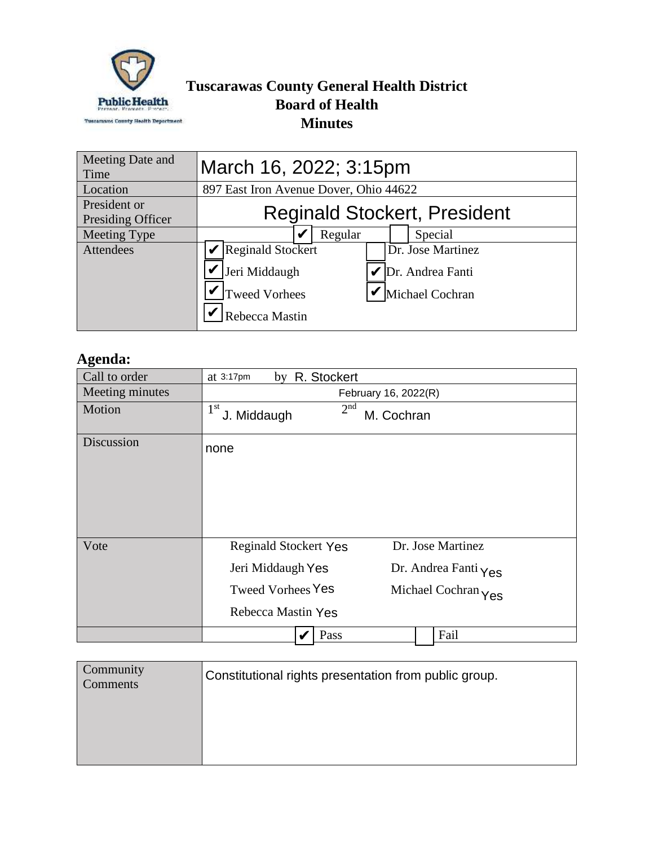

## **Tuscarawas County General Health District Board of Health Minutes**

| Meeting Date and<br>Time          | March 16, 2022; 3:15pm                                                              |                    |  |                                                          |
|-----------------------------------|-------------------------------------------------------------------------------------|--------------------|--|----------------------------------------------------------|
| Location                          | 897 East Iron Avenue Dover, Ohio 44622                                              |                    |  |                                                          |
| President or<br>Presiding Officer |                                                                                     |                    |  | <b>Reginald Stockert, President</b>                      |
| Meeting Type                      |                                                                                     | Regular<br>Special |  |                                                          |
| Attendees                         | <b>Reginald Stockert</b><br>Jeri Middaugh<br><b>Tweed Vorhees</b><br>Rebecca Mastin |                    |  | Dr. Jose Martinez<br>Dr. Andrea Fanti<br>Michael Cochran |

## **Agenda:**

| Call to order   | by R. Stockert<br>at $3:17$ pm                                                                                                                                          |
|-----------------|-------------------------------------------------------------------------------------------------------------------------------------------------------------------------|
| Meeting minutes | February 16, 2022(R)                                                                                                                                                    |
| Motion          | 2 <sup>nd</sup><br>1 <sup>st</sup><br>J. Middaugh<br>M. Cochran                                                                                                         |
| Discussion      | none                                                                                                                                                                    |
| Vote            | Dr. Jose Martinez<br><b>Reginald Stockert Yes</b><br>Jeri Middaugh Yes<br>Dr. Andrea Fanti Yes<br><b>Tweed Vorhees Yes</b><br>Michael Cochran Yes<br>Rebecca Mastin Yes |
|                 | Fail<br>Pass                                                                                                                                                            |

| Community<br>Comments | Constitutional rights presentation from public group. |
|-----------------------|-------------------------------------------------------|
|                       |                                                       |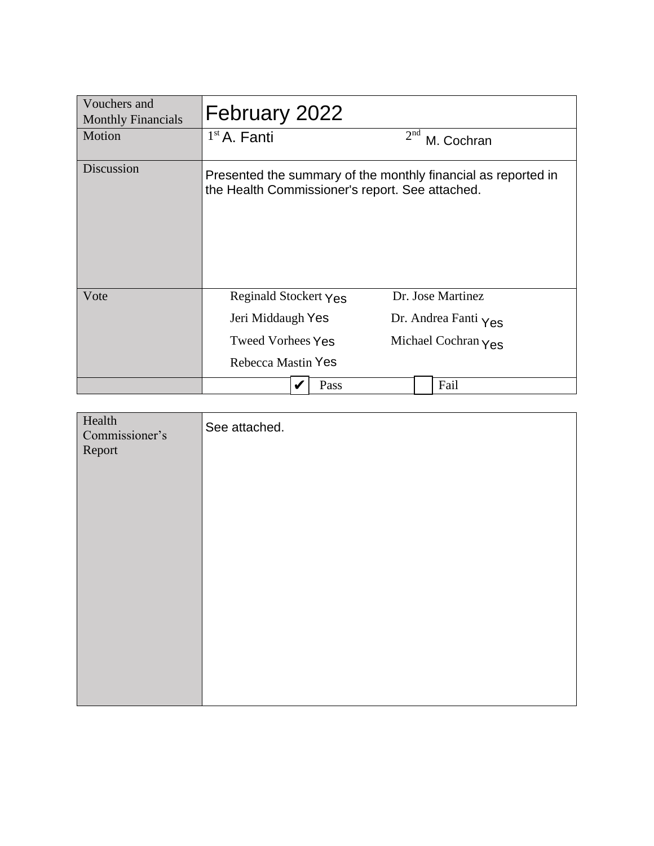| Vouchers and<br><b>Monthly Financials</b> | February 2022                                   |      |                 |                                                               |
|-------------------------------------------|-------------------------------------------------|------|-----------------|---------------------------------------------------------------|
| Motion                                    | $1st$ A. Fanti                                  |      | 2 <sup>nd</sup> | M. Cochran                                                    |
| Discussion                                | the Health Commissioner's report. See attached. |      |                 | Presented the summary of the monthly financial as reported in |
| Vote                                      | Reginald Stockert Yes                           |      |                 | Dr. Jose Martinez                                             |
|                                           | Jeri Middaugh Yes                               |      |                 | Dr. Andrea Fanti Yes                                          |
|                                           | <b>Tweed Vorhees Yes</b>                        |      |                 | Michael Cochran $\gamma$ es                                   |
|                                           | Rebecca Mastin Yes                              |      |                 |                                                               |
|                                           |                                                 | Pass |                 | Fail                                                          |

| Health<br>Commissioner's<br>Report | See attached. |
|------------------------------------|---------------|
|                                    |               |
|                                    |               |
|                                    |               |
|                                    |               |
|                                    |               |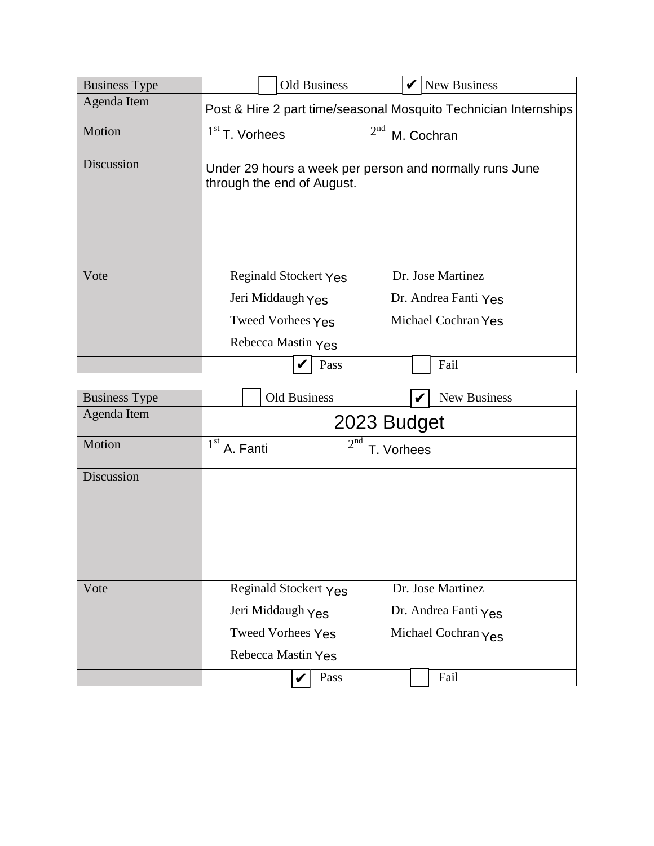| <b>Business Type</b> | <b>Old Business</b><br><b>New Business</b>                                            |  |  |
|----------------------|---------------------------------------------------------------------------------------|--|--|
| Agenda Item          | Post & Hire 2 part time/seasonal Mosquito Technician Internships                      |  |  |
| Motion               | 2 <sup>nd</sup><br>$1st$ T. Vorhees<br>M. Cochran                                     |  |  |
| Discussion           | Under 29 hours a week per person and normally runs June<br>through the end of August. |  |  |
| Vote                 | Dr. Jose Martinez<br>Reginald Stockert Yes                                            |  |  |
|                      | Jeri Middaugh Yes<br>Dr. Andrea Fanti Yes                                             |  |  |
|                      | Michael Cochran Yes<br>Tweed Vorhees Yes                                              |  |  |
|                      | Rebecca Mastin Yes                                                                    |  |  |
|                      | Pass<br>Fail                                                                          |  |  |
|                      |                                                                                       |  |  |
| <b>Business Type</b> | <b>Old Business</b><br><b>New Business</b><br>V                                       |  |  |
| Agenda Item          | 2023 Budget                                                                           |  |  |

| <b>Business Type</b> |                                                                                       | Old Business | v | New Business                                                                      |
|----------------------|---------------------------------------------------------------------------------------|--------------|---|-----------------------------------------------------------------------------------|
| Agenda Item          | 2023 Budget                                                                           |              |   |                                                                                   |
| Motion               | 2 <sup>nd</sup><br>$1^{\rm st}$<br>A. Fanti<br>T. Vorhees                             |              |   |                                                                                   |
| Discussion           |                                                                                       |              |   |                                                                                   |
| Vote                 | Reginald Stockert Yes<br>Jeri Middaugh Yes<br>Tweed Vorhees Yes<br>Rebecca Mastin Yes |              |   | Dr. Jose Martinez<br>Dr. Andrea Fanti $\gamma_{\text{es}}$<br>Michael Cochran Yes |
|                      |                                                                                       | Pass         |   | Fail                                                                              |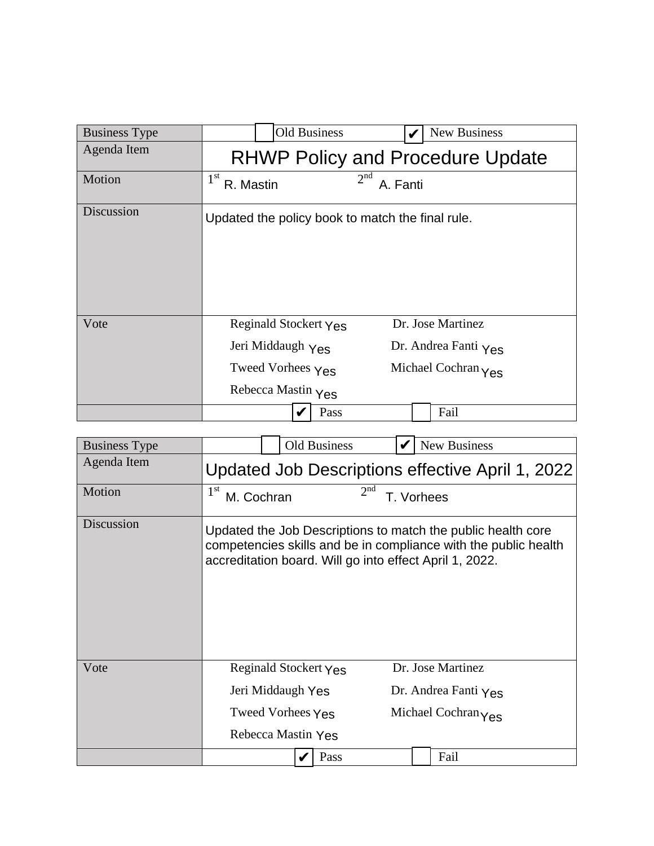| <b>Business Type</b> | <b>Old Business</b>                                                                   |                             | New Business                                                                 |
|----------------------|---------------------------------------------------------------------------------------|-----------------------------|------------------------------------------------------------------------------|
| Agenda Item          |                                                                                       |                             | <b>RHWP Policy and Procedure Update</b>                                      |
| Motion               | 1 <sup>st</sup><br>R. Mastin                                                          | 2 <sup>nd</sup><br>A. Fanti |                                                                              |
| Discussion           | Updated the policy book to match the final rule.                                      |                             |                                                                              |
| Vote                 | Reginald Stockert Yes<br>Jeri Middaugh Yes<br>Tweed Vorhees Yes<br>Rebecca Mastin Yes |                             | Dr. Jose Martinez<br>Dr. Andrea Fanti $Y_{\text{ES}}$<br>Michael Cochran Yes |
|                      |                                                                                       | Pass                        | Fail                                                                         |

| <b>Business Type</b> |                               | <b>Old Business</b>   |                                                         | <b>New Business</b>                                                                                                             |
|----------------------|-------------------------------|-----------------------|---------------------------------------------------------|---------------------------------------------------------------------------------------------------------------------------------|
| Agenda Item          |                               |                       |                                                         | Updated Job Descriptions effective April 1, 2022                                                                                |
| Motion               | 1 <sup>st</sup><br>M. Cochran |                       | 2 <sup>nd</sup><br>T. Vorhees                           |                                                                                                                                 |
| Discussion           |                               |                       | accreditation board. Will go into effect April 1, 2022. | Updated the Job Descriptions to match the public health core<br>competencies skills and be in compliance with the public health |
| Vote                 |                               | Reginald Stockert Yes |                                                         | Dr. Jose Martinez                                                                                                               |
|                      | Jeri Middaugh Yes             |                       | Dr. Andrea Fanti Yes                                    |                                                                                                                                 |
|                      |                               | Tweed Vorhees Yes     |                                                         | Michael Cochran Yes                                                                                                             |
|                      |                               | Rebecca Mastin Yes    |                                                         |                                                                                                                                 |
|                      |                               | Pass                  |                                                         | Fail                                                                                                                            |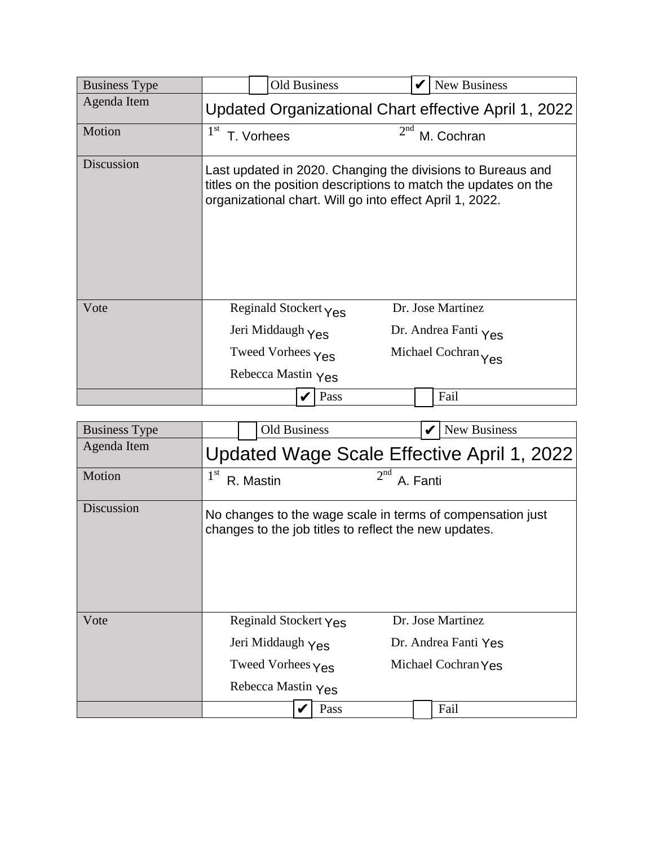| <b>Business Type</b> | <b>Old Business</b>                                      | New Business                                                                                                                   |
|----------------------|----------------------------------------------------------|--------------------------------------------------------------------------------------------------------------------------------|
| Agenda Item          |                                                          | Updated Organizational Chart effective April 1, 2022                                                                           |
| Motion               | 1 <sup>st</sup><br>T. Vorhees                            | 2 <sup>nd</sup><br>M. Cochran                                                                                                  |
| Discussion           | organizational chart. Will go into effect April 1, 2022. | Last updated in 2020. Changing the divisions to Bureaus and<br>titles on the position descriptions to match the updates on the |
| Vote                 | Reginald Stockert $\gamma_{\text{es}}$                   | Dr. Jose Martinez                                                                                                              |
|                      | Jeri Middaugh Yes                                        | Dr. Andrea Fanti Yes                                                                                                           |
|                      | Tweed Vorhees Yes                                        | Michael Cochran Yes                                                                                                            |
|                      | Rebecca Mastin Yes                                       |                                                                                                                                |
|                      | Pass                                                     | Fail                                                                                                                           |

| <b>Business Type</b> | <b>Old Business</b>                                   |                 | New Business                                               |
|----------------------|-------------------------------------------------------|-----------------|------------------------------------------------------------|
| Agenda Item          |                                                       |                 | Updated Wage Scale Effective April 1, 2022                 |
| Motion               | $1^{\rm st}$<br>R. Mastin                             | 2 <sup>nd</sup> | A. Fanti                                                   |
| Discussion           | changes to the job titles to reflect the new updates. |                 | No changes to the wage scale in terms of compensation just |
| Vote                 | Reginald Stockert Yes                                 |                 | Dr. Jose Martinez                                          |
|                      | Jeri Middaugh Yes                                     |                 | Dr. Andrea Fanti Yes                                       |
|                      | Tweed Vorhees $Y_{\text{ES}}$                         |                 | Michael Cochran Yes                                        |
|                      | Rebecca Mastin Yes                                    |                 |                                                            |
|                      |                                                       | Pass            | Fail                                                       |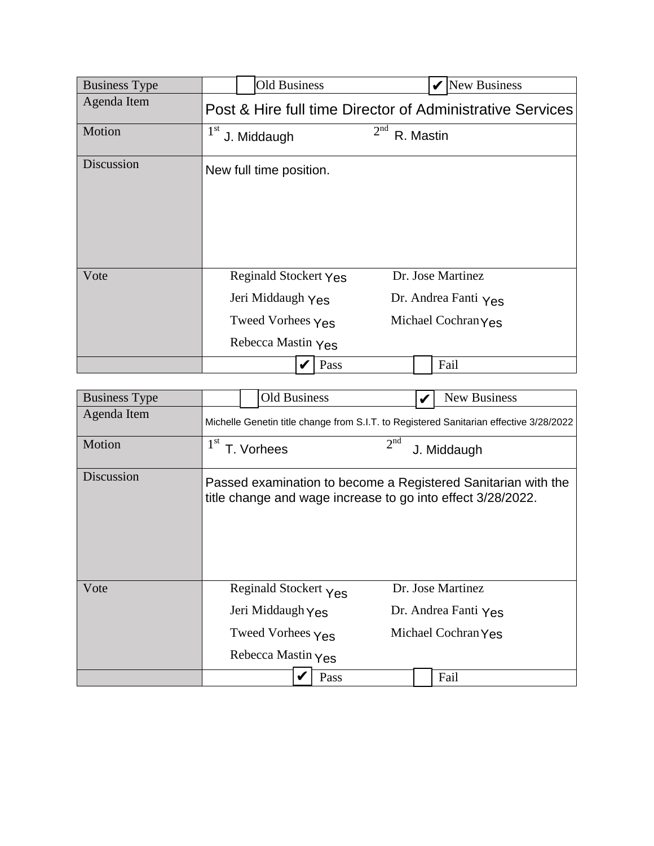| <b>Business Type</b> | <b>Old Business</b>                                                                   | New Business                                                     |
|----------------------|---------------------------------------------------------------------------------------|------------------------------------------------------------------|
| Agenda Item          |                                                                                       | Post & Hire full time Director of Administrative Services        |
| Motion               | 1 <sup>st</sup><br>J. Middaugh                                                        | 2 <sup>nd</sup><br>R. Mastin                                     |
| Discussion           | New full time position.                                                               |                                                                  |
| Vote                 | Reginald Stockert Yes<br>Jeri Middaugh Yes<br>Tweed Vorhees Yes<br>Rebecca Mastin Yes | Dr. Jose Martinez<br>Dr. Andrea Fanti Yes<br>Michael Cochran Yes |
|                      | Pass                                                                                  | Fail                                                             |

| <b>Business Type</b> | <b>Old Business</b>                                                                    | New Business                                                                                                                 |  |  |  |  |  |
|----------------------|----------------------------------------------------------------------------------------|------------------------------------------------------------------------------------------------------------------------------|--|--|--|--|--|
| Agenda Item          | Michelle Genetin title change from S.I.T. to Registered Sanitarian effective 3/28/2022 |                                                                                                                              |  |  |  |  |  |
| Motion               | 1 <sup>st</sup><br>T. Vorhees                                                          | 2 <sup>nd</sup><br>J. Middaugh                                                                                               |  |  |  |  |  |
| Discussion           |                                                                                        | Passed examination to become a Registered Sanitarian with the<br>title change and wage increase to go into effect 3/28/2022. |  |  |  |  |  |
| Vote                 | Reginald Stockert Yes<br>Jeri Middaugh Yes<br>Tweed Vorhees $Y_{\text{ES}}$            | Dr. Jose Martinez<br>Dr. Andrea Fanti Yes<br>Michael Cochran Yes                                                             |  |  |  |  |  |
|                      | Rebecca Mastin $Y_{\text{ES}}$                                                         |                                                                                                                              |  |  |  |  |  |
|                      | Pass                                                                                   | Fail                                                                                                                         |  |  |  |  |  |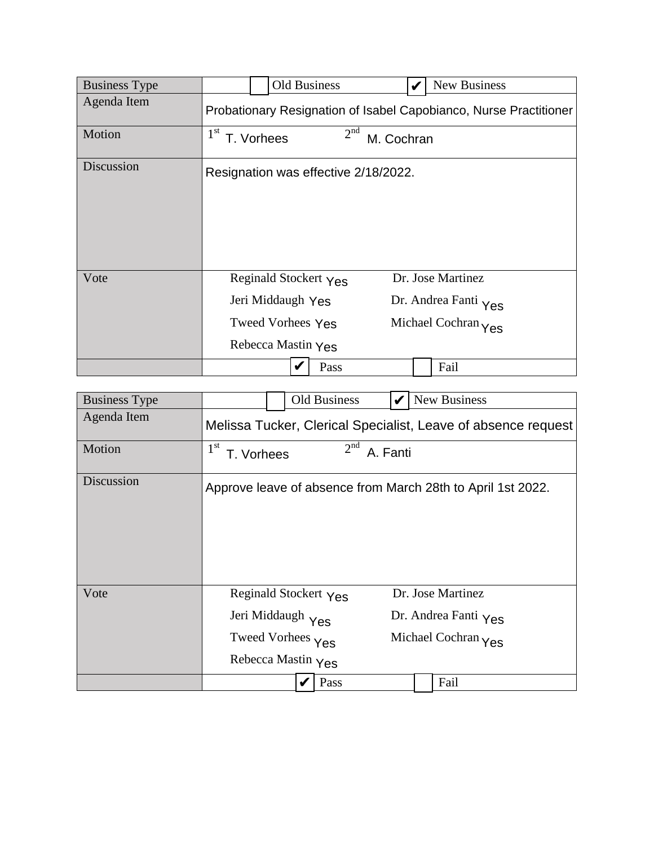| <b>Business Type</b> |                               | Old Business                                                                          | V          | New Business                                                      |
|----------------------|-------------------------------|---------------------------------------------------------------------------------------|------------|-------------------------------------------------------------------|
| Agenda Item          |                               |                                                                                       |            | Probationary Resignation of Isabel Capobianco, Nurse Practitioner |
| Motion               | 1 <sup>st</sup><br>T. Vorhees | 2 <sup>nd</sup>                                                                       | M. Cochran |                                                                   |
| Discussion           |                               | Resignation was effective 2/18/2022.                                                  |            |                                                                   |
| Vote                 |                               | Reginald Stockert Yes<br>Jeri Middaugh Yes<br>Tweed Vorhees Yes<br>Rebecca Mastin Yes |            | Dr. Jose Martinez<br>Dr. Andrea Fanti Yes<br>Michael Cochran Yes  |
|                      |                               | Pass                                                                                  |            | Fail                                                              |

| <b>Business Type</b> |                                                                                                        | <b>Old Business</b> | V        | New Business                                                                      |  |  |  |
|----------------------|--------------------------------------------------------------------------------------------------------|---------------------|----------|-----------------------------------------------------------------------------------|--|--|--|
| Agenda Item          | Melissa Tucker, Clerical Specialist, Leave of absence request                                          |                     |          |                                                                                   |  |  |  |
| Motion               | 1 <sup>st</sup><br>T. Vorhees                                                                          | 2 <sup>nd</sup>     | A. Fanti |                                                                                   |  |  |  |
| Discussion           |                                                                                                        |                     |          | Approve leave of absence from March 28th to April 1st 2022.                       |  |  |  |
| Vote                 | Reginald Stockert $\gamma_{\text{es}}$<br>Jeri Middaugh Yes<br>Tweed Vorhees Yes<br>Rebecca Mastin Yes |                     |          | Dr. Jose Martinez<br>Dr. Andrea Fanti $\gamma_{\text{ES}}$<br>Michael Cochran Yes |  |  |  |
|                      |                                                                                                        | Pass                |          | Fail                                                                              |  |  |  |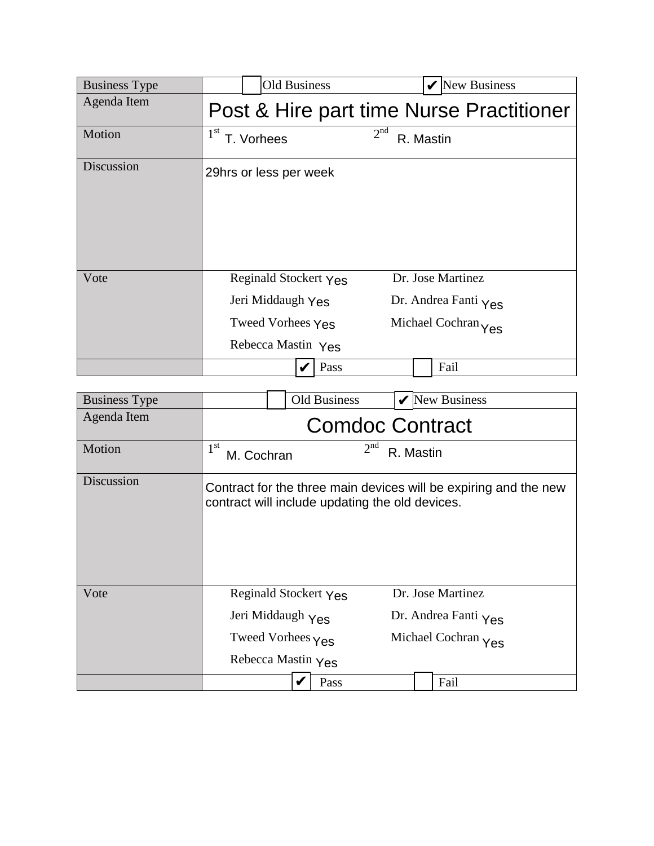| <b>Business Type</b> | <b>Old Business</b>                                                                   | New Business<br>V                                                |
|----------------------|---------------------------------------------------------------------------------------|------------------------------------------------------------------|
| Agenda Item          |                                                                                       | Post & Hire part time Nurse Practitioner                         |
| Motion               | 1 <sup>st</sup><br>T. Vorhees                                                         | 2 <sup>nd</sup><br>R. Mastin                                     |
| Discussion           | 29hrs or less per week                                                                |                                                                  |
| Vote                 | Reginald Stockert Yes<br>Jeri Middaugh Yes<br>Tweed Vorhees Yes<br>Rebecca Mastin Yes | Dr. Jose Martinez<br>Dr. Andrea Fanti Yes<br>Michael Cochran Yes |
|                      | Pass                                                                                  | Fail                                                             |

| <b>Business Type</b> |                            | <b>Old Business</b>                                                                   | V                            | <b>New Business</b>                                                          |  |  |  |
|----------------------|----------------------------|---------------------------------------------------------------------------------------|------------------------------|------------------------------------------------------------------------------|--|--|--|
| Agenda Item          | <b>Comdoc Contract</b>     |                                                                                       |                              |                                                                              |  |  |  |
| Motion               | $1^{\rm st}$<br>M. Cochran |                                                                                       | 2 <sup>nd</sup><br>R. Mastin |                                                                              |  |  |  |
| Discussion           |                            | contract will include updating the old devices.                                       |                              | Contract for the three main devices will be expiring and the new             |  |  |  |
| Vote                 |                            | Reginald Stockert Yes<br>Jeri Middaugh Yes<br>Tweed Vorhees Yes<br>Rebecca Mastin Yes |                              | Dr. Jose Martinez<br>Dr. Andrea Fanti $Y_{\text{ES}}$<br>Michael Cochran Yes |  |  |  |
|                      |                            | Pass                                                                                  |                              | Fail                                                                         |  |  |  |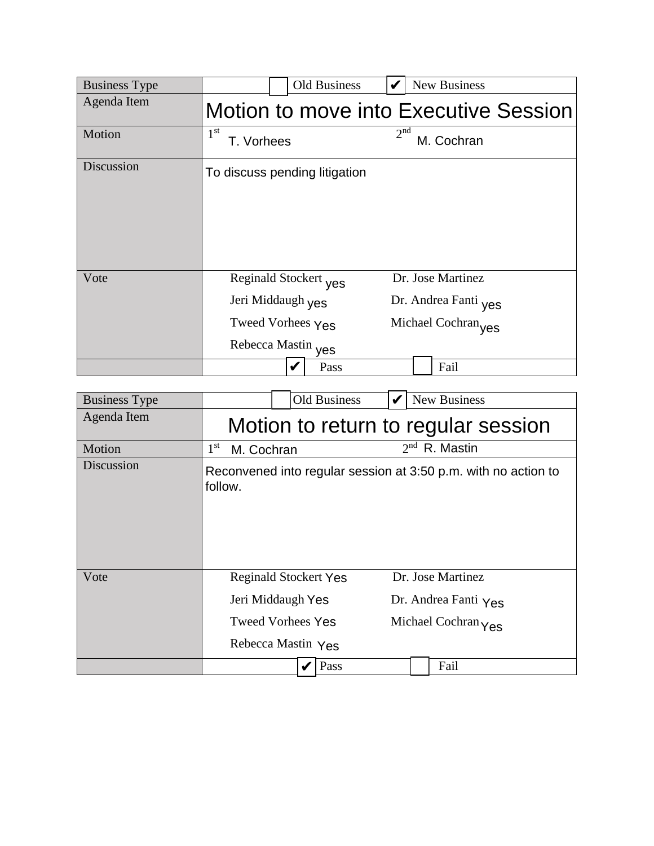| <b>Business Type</b> | <b>Old Business</b>                                                                   |                 | New Business                                                     |
|----------------------|---------------------------------------------------------------------------------------|-----------------|------------------------------------------------------------------|
| Agenda Item          |                                                                                       |                 | Motion to move into Executive Session                            |
| Motion               | 1 <sup>st</sup><br>T. Vorhees                                                         | 2 <sup>nd</sup> | M. Cochran                                                       |
| Discussion           | To discuss pending litigation                                                         |                 |                                                                  |
| Vote                 | Reginald Stockert yes<br>Jeri Middaugh yes<br>Tweed Vorhees Yes<br>Rebecca Mastin yes |                 | Dr. Jose Martinez<br>Dr. Andrea Fanti yes<br>Michael Cochran yes |
|                      | V                                                                                     | Pass            | Fail                                                             |

| <b>Business Type</b> |                                                 | Old Business                 |                   | New Business                                                   |  |  |  |
|----------------------|-------------------------------------------------|------------------------------|-------------------|----------------------------------------------------------------|--|--|--|
| Agenda Item          | Motion to return to regular session             |                              |                   |                                                                |  |  |  |
| Motion               | $1^{\rm st}$<br>M. Cochran                      |                              |                   | $2nd$ R. Mastin                                                |  |  |  |
| Discussion           | follow.                                         |                              |                   | Reconvened into regular session at 3:50 p.m. with no action to |  |  |  |
| Vote                 |                                                 | <b>Reginald Stockert Yes</b> | Dr. Jose Martinez |                                                                |  |  |  |
|                      | Jeri Middaugh Yes<br>Dr. Andrea Fanti Yes       |                              |                   |                                                                |  |  |  |
|                      | <b>Tweed Vorhees Yes</b><br>Michael Cochran Yes |                              |                   |                                                                |  |  |  |
|                      |                                                 | Rebecca Mastin Yes           |                   |                                                                |  |  |  |
|                      |                                                 | Pass<br>V                    |                   | Fail                                                           |  |  |  |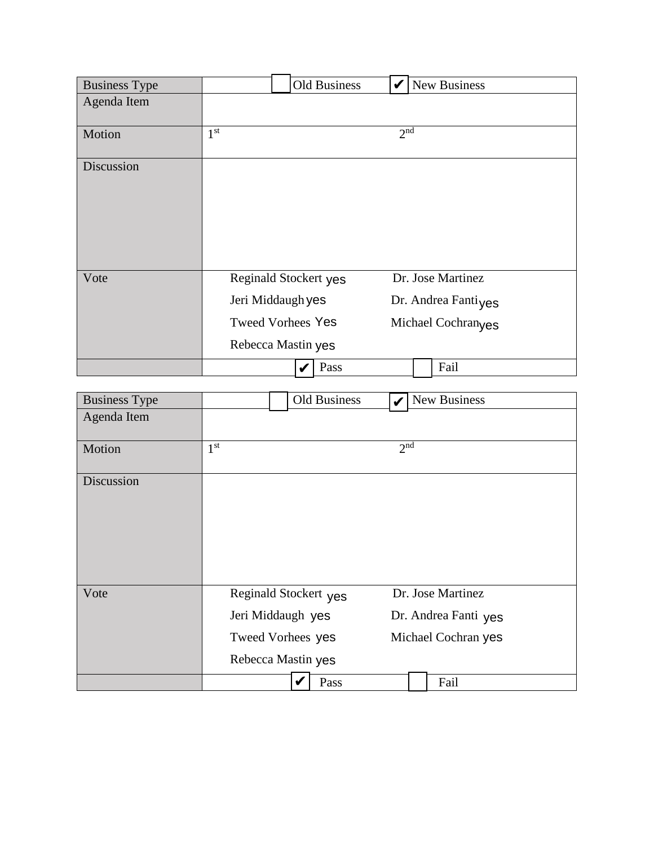| <b>Business Type</b> |                                                                                              | Old Business | V               | New Business                                                   |
|----------------------|----------------------------------------------------------------------------------------------|--------------|-----------------|----------------------------------------------------------------|
| Agenda Item          |                                                                                              |              |                 |                                                                |
| Motion               | 1 <sup>st</sup>                                                                              |              | 2 <sup>nd</sup> |                                                                |
| Discussion           |                                                                                              |              |                 |                                                                |
| Vote                 | Reginald Stockert yes<br>Jeri Middaugh yes<br><b>Tweed Vorhees Yes</b><br>Rebecca Mastin yes |              |                 | Dr. Jose Martinez<br>Dr. Andrea Fantiyes<br>Michael Cochranges |
|                      |                                                                                              | Pass         |                 | Fail                                                           |

|                      | Jeri Middaugh yes        | Dr. Andrea Fanti <sub>ves</sub> |  |  |
|----------------------|--------------------------|---------------------------------|--|--|
|                      | <b>Tweed Vorhees Yes</b> | Michael Cochranyes              |  |  |
|                      | Rebecca Mastin yes       |                                 |  |  |
|                      | Pass<br>V                | Fail                            |  |  |
|                      |                          |                                 |  |  |
| <b>Business Type</b> | <b>Old Business</b>      | New Business                    |  |  |
| Agenda Item          |                          |                                 |  |  |
| Motion               | 1 <sup>st</sup>          | 2 <sup>nd</sup>                 |  |  |
| Discussion           |                          |                                 |  |  |
| Vote                 | Reginald Stockert yes    | Dr. Jose Martinez               |  |  |
|                      | Jeri Middaugh yes        | Dr. Andrea Fanti yes            |  |  |
|                      | Tweed Vorhees yes        | Michael Cochran yes             |  |  |
|                      | Rebecca Mastin yes       |                                 |  |  |
|                      | Pass                     | Fail                            |  |  |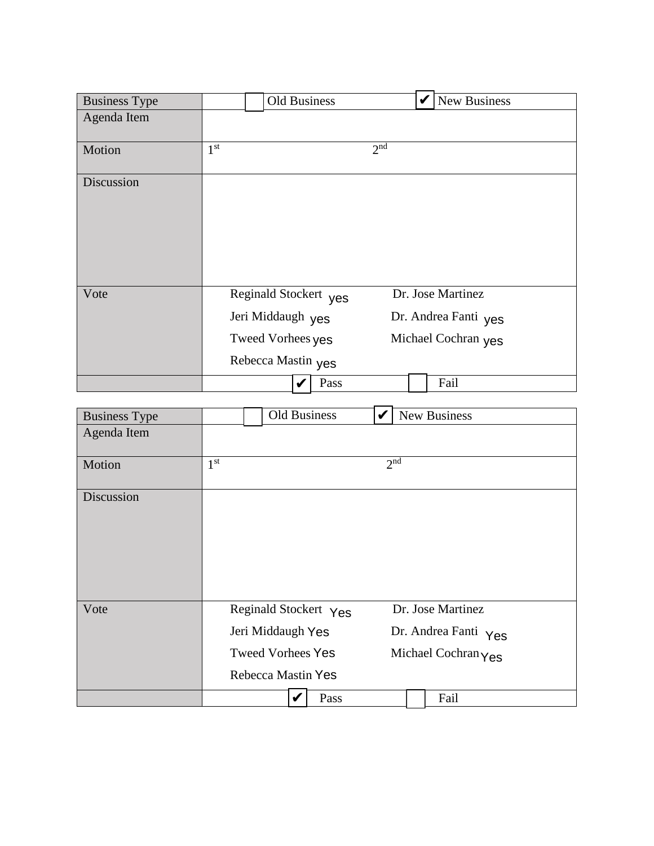| <b>Business Type</b> |                 | Old Business                                                                          | <b>New Business</b><br>V                                         |
|----------------------|-----------------|---------------------------------------------------------------------------------------|------------------------------------------------------------------|
| Agenda Item          |                 |                                                                                       |                                                                  |
| Motion               | 1 <sup>st</sup> |                                                                                       | 2 <sup>nd</sup>                                                  |
| Discussion           |                 |                                                                                       |                                                                  |
| Vote                 |                 | Reginald Stockert yes<br>Jeri Middaugh yes<br>Tweed Vorhees yes<br>Rebecca Mastin yes | Dr. Jose Martinez<br>Dr. Andrea Fanti yes<br>Michael Cochran yes |
|                      |                 | Pass                                                                                  | Fail                                                             |

|                      | Jeri Middaugh yes        |                       | Dr. Andrea Fanti yes |                      |  |
|----------------------|--------------------------|-----------------------|----------------------|----------------------|--|
|                      | Tweed Vorhees yes        |                       | Michael Cochran yes  |                      |  |
|                      | Rebecca Mastin yes       |                       |                      |                      |  |
|                      |                          | Pass<br>V             |                      | Fail                 |  |
| <b>Business Type</b> |                          | <b>Old Business</b>   | V                    | New Business         |  |
| Agenda Item          |                          |                       |                      |                      |  |
| Motion               | 1 <sup>st</sup>          |                       | 2 <sup>nd</sup>      |                      |  |
| Discussion           |                          |                       |                      |                      |  |
| Vote                 |                          | Reginald Stockert Yes |                      | Dr. Jose Martinez    |  |
|                      | Jeri Middaugh Yes        |                       |                      | Dr. Andrea Fanti Yes |  |
|                      | <b>Tweed Vorhees Yes</b> |                       |                      | Michael Cochran Yes  |  |
|                      | Rebecca Mastin Yes       |                       |                      |                      |  |
|                      |                          | Pass<br>V             |                      | Fail                 |  |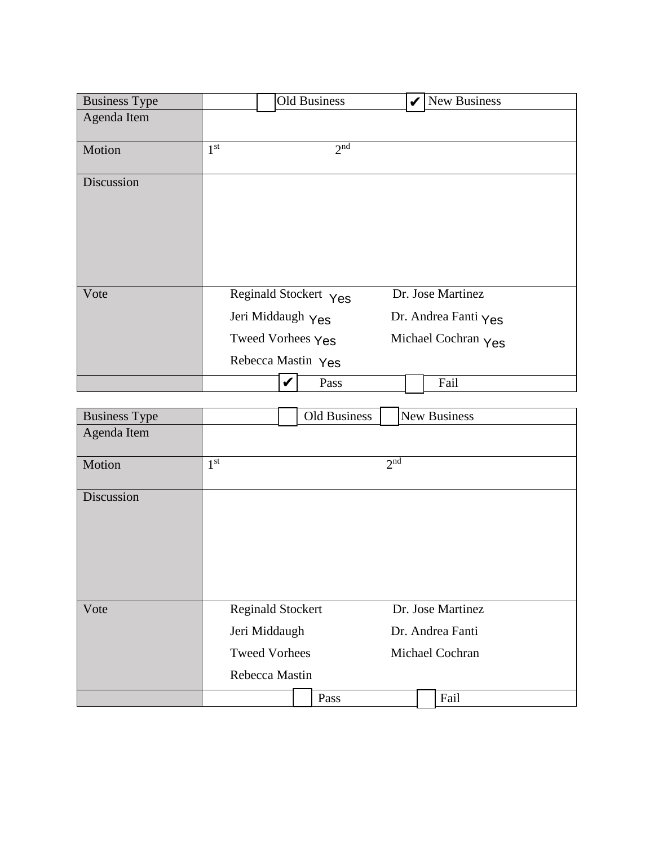| <b>Business Type</b> | <b>Old Business</b>                                                                   | $  \mathbf{v}  $ New Business                                    |
|----------------------|---------------------------------------------------------------------------------------|------------------------------------------------------------------|
| Agenda Item          |                                                                                       |                                                                  |
| Motion               | 2 <sup>nd</sup><br>1 <sup>st</sup>                                                    |                                                                  |
| Discussion           |                                                                                       |                                                                  |
| Vote                 | Reginald Stockert Yes<br>Jeri Middaugh Yes<br>Tweed Vorhees Yes<br>Rebecca Mastin Yes | Dr. Jose Martinez<br>Dr. Andrea Fanti Yes<br>Michael Cochran Yes |
|                      | Pass                                                                                  | Fail                                                             |

| <b>Business Type</b> |                                                                                     | Old Business |                     | <b>New Business</b>                                      |
|----------------------|-------------------------------------------------------------------------------------|--------------|---------------------|----------------------------------------------------------|
| Agenda Item          |                                                                                     |              |                     |                                                          |
| Motion               | 1 <sup>st</sup>                                                                     |              | $2^{n\overline{d}}$ |                                                          |
| Discussion           |                                                                                     |              |                     |                                                          |
| Vote                 | <b>Reginald Stockert</b><br>Jeri Middaugh<br><b>Tweed Vorhees</b><br>Rebecca Mastin |              |                     | Dr. Jose Martinez<br>Dr. Andrea Fanti<br>Michael Cochran |
|                      |                                                                                     | Pass         |                     | Fail                                                     |